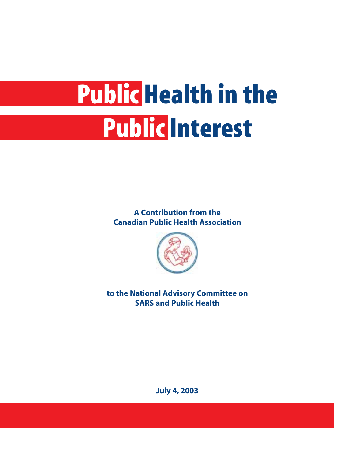# **Public Health in the Public Interest**

**A Contribution from the [Canadian Public Health Association](http://www.cpha.ca)**



**to the National Advisory Committee on SARS and Public Health**

**July 4, 2003**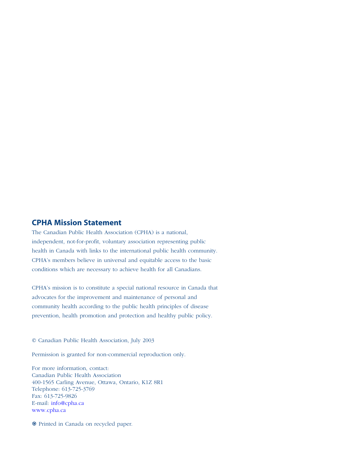#### **CPHA Mission Statement**

The [Canadian Public Health Association \(CPHA\)](http://www.cpha.ca) is a national, independent, not-for-profit, voluntary association representing public health in Canada with links to the international public health community. CPHA's members believe in universal and equitable access to the basic conditions which are necessary to achieve health for all Canadians.

CPHA's mission is to constitute a special national resource in Canada that advocates for the improvement and maintenance of personal and community health according to the public health principles of disease prevention, health promotion and protection and healthy public policy.

© Canadian Public Health Association, July 2003

Permission is granted for non-commercial reproduction only.

For more information, contact: Canadian Public Health Association 400-1565 Carling Avenue, Ottawa, Ontario, K1Z 8R1 Telephone: 613-725-3769 Fax: 613-725-9826 E-mail: [info@cpha.ca](mailto:info@cpha.ca) [www.cpha.ca](http://www.cpha.ca)

1 Printed in Canada on recycled paper.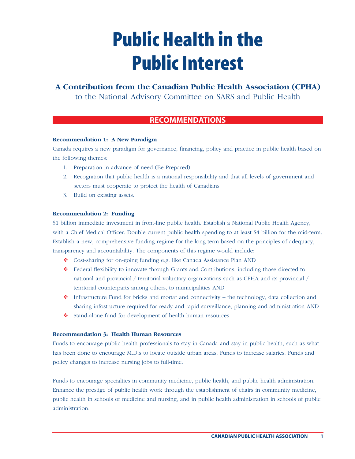## **Public Health in the Public Interest**

## **A Contribution from the Canadian Public Health Association (CPHA)**

to the National Advisory Committee on SARS and Public Health

### **RECOMMENDATIONS**

#### **Recommendation 1: A New Paradigm**

Canada requires a new paradigm for governance, financing, policy and practice in public health based on the following themes:

- 1. Preparation in advance of need (Be Prepared).
- 2. Recognition that public health is a national responsibility and that all levels of government and sectors must cooperate to protect the health of Canadians.
- 3. Build on existing assets.

#### **Recommendation 2: Funding**

\$1 billion immediate investment in front-line public health. Establish a National Public Health Agency, with a Chief Medical Officer. Double current public health spending to at least \$4 billion for the mid-term. Establish a new, comprehensive funding regime for the long-term based on the principles of adequacy, transparency and accountability. The components of this regime would include:

- " Cost-sharing for on-going funding e.g. like Canada Assistance Plan AND
- \* Federal flexibility to innovate through Grants and Contributions, including those directed to national and provincial / territorial voluntary organizations such as CPHA and its provincial / territorial counterparts among others, to municipalities AND
- $\bullet$  Infrastructure Fund for bricks and mortar and connectivity the technology, data collection and sharing infostructure required for ready and rapid surveillance, planning and administration AND
- \* Stand-alone fund for development of health human resources.

#### **Recommendation 3: Health Human Resources**

Funds to encourage public health professionals to stay in Canada and stay in public health, such as what has been done to encourage M.D.s to locate outside urban areas. Funds to increase salaries. Funds and policy changes to increase nursing jobs to full-time.

Funds to encourage specialties in community medicine, public health, and public health administration. Enhance the prestige of public health work through the establishment of chairs in community medicine, public health in schools of medicine and nursing, and in public health administration in schools of public administration.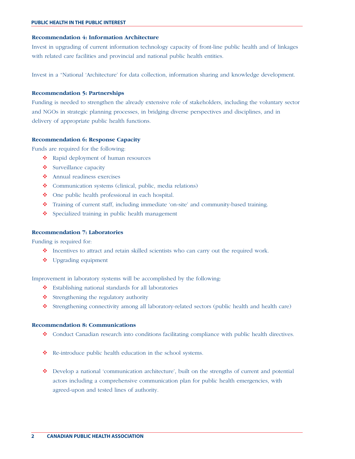#### **Recommendation 4: Information Architecture**

Invest in upgrading of current information technology capacity of front-line public health and of linkages with related care facilities and provincial and national public health entities.

Invest in a "National 'Architecture' for data collection, information sharing and knowledge development.

#### **Recommendation 5: Partnerships**

Funding is needed to strengthen the already extensive role of stakeholders, including the voluntary sector and NGOs in strategic planning processes, in bridging diverse perspectives and disciplines, and in delivery of appropriate public health functions.

#### **Recommendation 6: Response Capacity**

Funds are required for the following:

- \* Rapid deployment of human resources
- $\triangle$  Surveillance capacity
- " Annual readiness exercises
- \* Communication systems (clinical, public, media relations)
- $\bullet$  One public health professional in each hospital.
- \* Training of current staff, including immediate 'on-site' and community-based training.
- ❖ Specialized training in public health management

#### **Recommendation 7: Laboratories**

Funding is required for:

- $\bullet$  Incentives to attract and retain skilled scientists who can carry out the required work.
- $\bullet$  Upgrading equipment

Improvement in laboratory systems will be accomplished by the following:

- " Establishing national standards for all laboratories
- $\triangle$  Strengthening the regulatory authority
- " Strengthening connectivity among all laboratory-related sectors (public health and health care)

#### **Recommendation 8: Communications**

- \* Conduct Canadian research into conditions facilitating compliance with public health directives.
- \* Re-introduce public health education in the school systems.
- \* Develop a national 'communication architecture', built on the strengths of current and potential actors including a comprehensive communication plan for public health emergencies, with agreed-upon and tested lines of authority.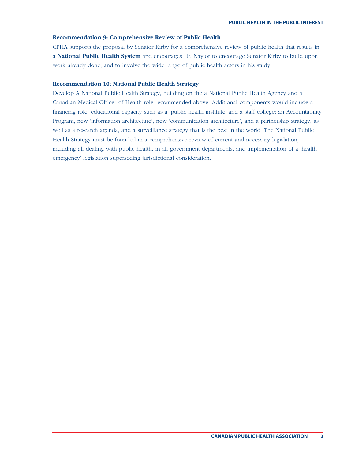#### **Recommendation 9: Comprehensive Review of Public Health**

CPHA supports the proposal by Senator Kirby for a comprehensive review of public health that results in a **National Public Health System** and encourages Dr. Naylor to encourage Senator Kirby to build upon work already done, and to involve the wide range of public health actors in his study.

#### **Recommendation 10: National Public Health Strategy**

Develop A National Public Health Strategy, building on the a National Public Health Agency and a Canadian Medical Officer of Health role recommended above. Additional components would include a financing role; educational capacity such as a 'public health institute' and a staff college; an Accountability Program; new 'information architecture'; new 'communication architecture', and a partnership strategy, as well as a research agenda, and a surveillance strategy that is the best in the world. The National Public Health Strategy must be founded in a comprehensive review of current and necessary legislation, including all dealing with public health, in all government departments, and implementation of a 'health emergency' legislation superseding jurisdictional consideration.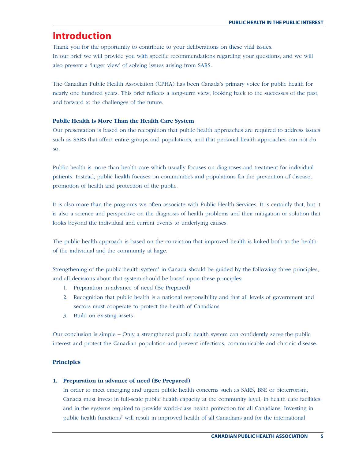## **Introduction**

Thank you for the opportunity to contribute to your deliberations on these vital issues. In our brief we will provide you with specific recommendations regarding your questions, and we will also present a 'larger view' of solving issues arising from SARS.

The Canadian Public Health Association (CPHA) has been Canada's primary voice for public health for nearly one hundred years. This brief reflects a long-term view, looking back to the successes of the past, and forward to the challenges of the future.

#### **Public Health is More Than the Health Care System**

Our presentation is based on the recognition that public health approaches are required to address issues such as SARS that affect entire groups and populations, and that personal health approaches can not do so.

Public health is more than health care which usually focuses on diagnoses and treatment for individual patients. Instead, public health focuses on communities and populations for the prevention of disease, promotion of health and protection of the public.

It is also more than the programs we often associate with Public Health Services. It is certainly that, but it is also a science and perspective on the diagnosis of health problems and their mitigation or solution that looks beyond the individual and current events to underlying causes.

The public health approach is based on the conviction that improved health is linked both to the health of the individual and the community at large.

Strengthening of the public health system $1$  in Canada should be guided by the following three principles, and all decisions about that system should be based upon these principles:

- 1. Preparation in advance of need (Be Prepared)
- 2. Recognition that public health is a national responsibility and that all levels of government and sectors must cooperate to protect the health of Canadians
- 3. Build on existing assets

Our conclusion is simple – Only a strengthened public health system can confidently serve the public interest and protect the Canadian population and prevent infectious, communicable and chronic disease.

#### **Principles**

#### **1. Preparation in advance of need (Be Prepared)**

In order to meet emerging and urgent public health concerns such as SARS, BSE or bioterrorism, Canada must invest in full-scale public health capacity at the community level, in health care facilities, and in the systems required to provide world-class health protection for all Canadians. Investing in public health functions2 will result in improved health of all Canadians and for the international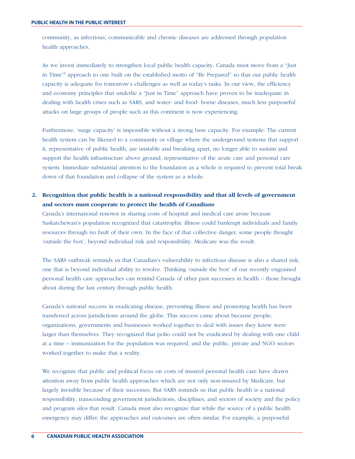community, as infectious, communicable and chronic diseases are addressed through population health approaches.

As we invest immediately to strengthen local public health capacity, Canada must move from a "Just in Time"3 approach to one built on the established motto of "Be Prepared" so that our public health capacity is adequate for tomorrow's challenges as well as today's tasks. In our view, the efficiency and economy principles that underlie a "Just in Time" approach have proven to be inadequate in dealing with health crises such as SARS, and water- and food- borne diseases, much less purposeful attacks on large groups of people such as this continent is now experiencing.

Furthermore, 'surge capacity' is impossible without a strong base capacity. For example: The current health system can be likened to a community or village where the underground systems that support it, representative of public health, are unstable and breaking apart, no longer able to sustain and support the health infrastructure above ground, representative of the acute care and personal care system. Immediate substantial attention to the foundation as a whole is required to prevent total break down of that foundation and collapse of the system as a whole.

#### **2. Recognition that public health is a national responsibility and that all levels of government and sectors must cooperate to protect the health of Canadians**

Canada's international renown in sharing costs of hospital and medical care arose because Saskatchewan's population recognized that catastrophic illness could bankrupt individuals and family resources through no fault of their own. In the face of that collective danger, some people thought 'outside the box', beyond individual risk and responsibility. Medicare was the result.

The SARS outbreak reminds us that Canadian's vulnerability to infectious disease is also a shared risk, one that is beyond individual ability to resolve. Thinking 'outside the box' of our recently engrained personal health care approaches can remind Canada of other past successes in health – those brought about during the last century through public health.

Canada's national success in eradicating disease, preventing illness and promoting health has been transferred across jurisdictions around the globe. This success came about because people, organizations, governments and businesses worked together to deal with issues they knew were larger than themselves. They recognized that polio could not be eradicated by dealing with one child at a time – immunization for the population was required, and the public, private and NGO sectors worked together to make that a reality.

We recognize that public and political focus on costs of insured personal health care have drawn attention away from public health approaches which are not only non-insured by Medicare, but largely invisible because of their successes. But SARS reminds us that public health is a national responsibility, transcending government jurisdictions, disciplines, and sectors of society and the policy and program silos that result. Canada must also recognize that while the source of a public health emergency may differ, the approaches and outcomes are often similar. For example, a purposeful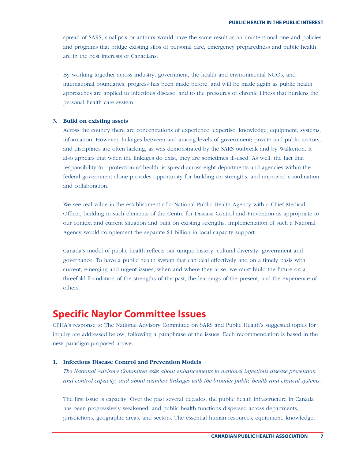spread of SARS, smallpox or anthrax would have the same result as an unintentional one and policies and programs that bridge existing silos of personal care, emergency preparedness and public health are in the best interests of Canadians.

By working together across industry, government, the health and environmental NGOs, and international boundaries, progress has been made before, and will be made again as public health approaches are applied to infectious disease, and to the pressures of chronic illness that burdens the personal health care system.

#### **3. Build on existing assets**

Across the country there are concentrations of experience, expertise, knowledge, equipment, systems, information. However, linkages between and among levels of government; private and public sectors, and disciplines are often lacking, as was demonstrated by the SARS outbreak and by Walkerton. It also appears that when the linkages do exist, they are sometimes ill-used. As well, the fact that responsibility for 'protection of health' is spread across eight departments and agencies within the federal government alone provides opportunity for building on strengths, and improved coordination and collaboration.

We see real value in the establishment of a National Public Health Agency with a Chief Medical Officer, building in such elements of the Centre for Disease Control and Prevention as appropriate to our context and current situation and built on existing strengths. Implementation of such a National Agency would complement the separate \$1 billion in local capacity support.

Canada's model of public health reflects our unique history, cultural diversity, government and governance. To have a public health system that can deal effectively and on a timely basis with current, emerging and urgent issues, when and where they arise, we must build the future on a threefold foundation of the strengths of the past, the learnings of the present, and the experience of others.

## **Specific Naylor Committee Issues**

CPHA's response to The National Advisory Committee on SARS and Public Health's suggested topics for inquiry are addressed below, following a paraphrase of the issues. Each recommendation is based in the new paradigm proposed above.

#### **1. Infectious Disease Control and Prevention Models**

*The National Advisory Committee asks about enhancements to national infectious disease prevention and control capacity, and about seamless linkages with the broader public health and clinical systems.*

The first issue is capacity. Over the past several decades, the public health infrastructure in Canada has been progressively weakened, and public health functions dispersed across departments, jurisdictions, geographic areas, and sectors. The essential human resources, equipment, knowledge,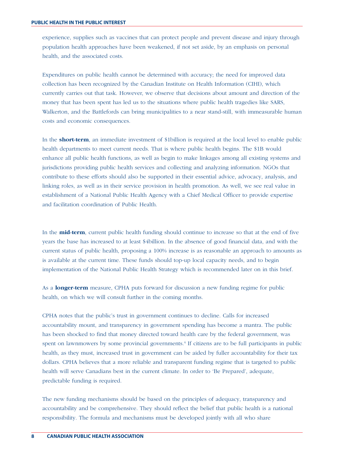experience, supplies such as vaccines that can protect people and prevent disease and injury through population health approaches have been weakened, if not set aside, by an emphasis on personal health, and the associated costs.

Expenditures on public health cannot be determined with accuracy; the need for improved data collection has been recognized by the Canadian Institute on Health Information (CIHI), which currently carries out that task. However, we observe that decisions about amount and direction of the money that has been spent has led us to the situations where public health tragedies like SARS, Walkerton, and the Battlefords can bring municipalities to a near stand-still, with immeasurable human costs and economic consequences.

In the **short-term**, an immediate investment of \$1billion is required at the local level to enable public health departments to meet current needs. That is where public health begins. The \$1B would enhance all public health functions, as well as begin to make linkages among all existing systems and jurisdictions providing public health services and collecting and analyzing information. NGOs that contribute to these efforts should also be supported in their essential advice, advocacy, analysis, and linking roles, as well as in their service provision in health promotion. As well, we see real value in establishment of a National Public Health Agency with a Chief Medical Officer to provide expertise and facilitation coordination of Public Health.

In the **mid-term**, current public health funding should continue to increase so that at the end of five years the base has increased to at least \$4billion. In the absence of good financial data, and with the current status of public health, proposing a 100% increase is as reasonable an approach to amounts as is available at the current time. These funds should top-up local capacity needs, and to begin implementation of the National Public Health Strategy which is recommended later on in this brief.

As a **longer-term** measure, CPHA puts forward for discussion a new funding regime for public health, on which we will consult further in the coming months.

CPHA notes that the public's trust in government continues to decline. Calls for increased accountability mount, and transparency in government spending has become a mantra. The public has been shocked to find that money directed toward health care by the federal government, was spent on lawnmowers by some provincial governments.<sup>4</sup> If citizens are to be full participants in public health, as they must, increased trust in government can be aided by fuller accountability for their tax dollars. CPHA believes that a more reliable and transparent funding regime that is targeted to public health will serve Canadians best in the current climate. In order to 'Be Prepared', adequate, predictable funding is required.

The new funding mechanisms should be based on the principles of adequacy, transparency and accountability and be comprehensive. They should reflect the belief that public health is a national responsibility. The formula and mechanisms must be developed jointly with all who share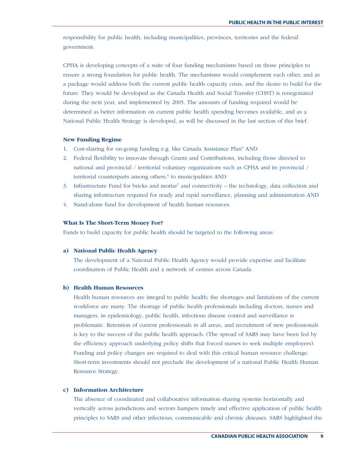responsibility for public health, including municipalities, provinces, territories and the federal government.

CPHA is developing concepts of a suite of four funding mechanisms based on those principles to ensure a strong foundation for public health. The mechanisms would complement each other, and as a package would address both the current public health capacity crisis, and the desire to build for the future. They would be developed as the Canada Health and Social Transfer (CHST) is renegotiated during the next year, and implemented by 2005. The amounts of funding required would be determined as better information on current public health spending becomes available, and as a National Public Health Strategy is developed, as will be discussed in the last section of this brief.

#### **New Funding Regime**

- 1. Cost-sharing for on-going funding e.g. like Canada Assistance Plan5 AND
- 2. Federal flexibility to innovate through Grants and Contributions, including those directed to national and provincial / territorial voluntary organizations such as CPHA and its provincial / territorial counterparts among others,<sup>6</sup> to municipalities AND
- 3. Infrastructure Fund for bricks and mortar<sup>7</sup> and connectivity the technology, data collection and sharing infostructure required for ready and rapid surveillance, planning and administration AND
- 4. Stand-alone fund for development of health human resources.

#### **What Is The Short-Term Money For?**

Funds to build capacity for public health should be targeted to the following areas:

#### **a) National Public Health Agency**

The development of a National Public Health Agency would provide expertise and facilitate coordination of Public Health and a network of centres across Canada.

#### **b) Health Human Resources**

Health human resources are integral to public health; the shortages and limitations of the current workforce are many. The shortage of public health professionals including doctors, nurses and managers, in epidemiology, public health, infectious disease control and surveillance is problematic. Retention of current professionals in all areas, and recruitment of new professionals is key to the success of the public health approach. (The spread of SARS may have been fed by the efficiency approach underlying policy shifts that forced nurses to seek multiple employers). Funding and policy changes are required to deal with this critical human resource challenge. Short-term investments should not preclude the development of a national Public Health Human Resource Strategy.

#### **c) Information Architecture**

The absence of coordinated and collaborative information sharing systems horizontally and vertically across jurisdictions and sectors hampers timely and effective application of public health principles to SARS and other infectious, communicable and chronic diseases. SARS highlighted the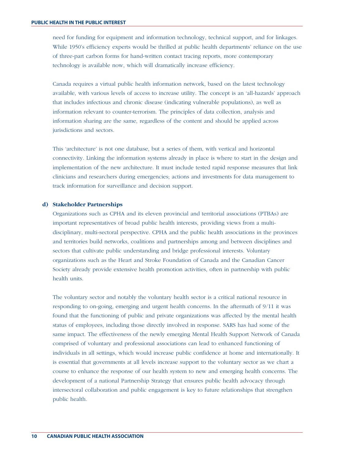need for funding for equipment and information technology, technical support, and for linkages. While 1950's efficiency experts would be thrilled at public health departments' reliance on the use of three-part carbon forms for hand-written contact tracing reports, more contemporary technology is available now, which will dramatically increase efficiency.

Canada requires a virtual public health information network, based on the latest technology available, with various levels of access to increase utility. The concept is an 'all-hazards' approach that includes infectious and chronic disease (indicating vulnerable populations), as well as information relevant to counter-terrorism. The principles of data collection, analysis and information sharing are the same, regardless of the content and should be applied across jurisdictions and sectors.

This 'architecture' is not one database, but a series of them, with vertical and horizontal connectivity. Linking the information systems already in place is where to start in the design and implementation of the new architecture. It must include tested rapid response measures that link clinicians and researchers during emergencies; actions and investments for data management to track information for surveillance and decision support.

#### **d) Stakeholder Partnerships**

Organizations such as CPHA and its eleven provincial and territorial associations (PTBAs) are important representatives of broad public health interests, providing views from a multidisciplinary, multi-sectoral perspective. CPHA and the public health associations in the provinces and territories build networks, coalitions and partnerships among and between disciplines and sectors that cultivate public understanding and bridge professional interests. Voluntary organizations such as the Heart and Stroke Foundation of Canada and the Canadian Cancer Society already provide extensive health promotion activities, often in partnership with public health units.

The voluntary sector and notably the voluntary health sector is a critical national resource in responding to on-going, emerging and urgent health concerns. In the aftermath of 9/11 it was found that the functioning of public and private organizations was affected by the mental health status of employees, including those directly involved in response. SARS has had some of the same impact. The effectiveness of the newly emerging Mental Health Support Network of Canada comprised of voluntary and professional associations can lead to enhanced functioning of individuals in all settings, which would increase public confidence at home and internationally. It is essential that governments at all levels increase support to the voluntary sector as we chart a course to enhance the response of our health system to new and emerging health concerns. The development of a national Partnership Strategy that ensures public health advocacy through intersectoral collaboration and public engagement is key to future relationships that strengthen public health.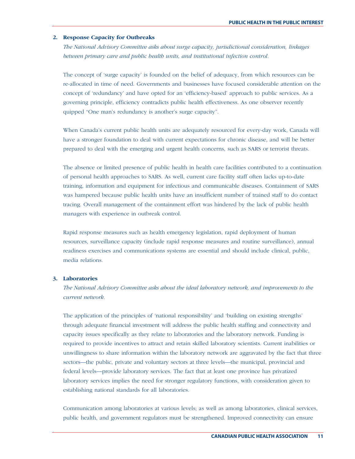#### **2. Response Capacity for Outbreaks**

*The National Advisory Committee asks about surge capacity, jurisdictional consideration, linkages between primary care and public health units, and institutional infection control.*

The concept of 'surge capacity' is founded on the belief of adequacy, from which resources can be re-allocated in time of need. Governments and businesses have focused considerable attention on the concept of 'redundancy' and have opted for an 'efficiency-based' approach to public services. As a governing principle, efficiency contradicts public health effectiveness. As one observer recently quipped "One man's redundancy is another's surge capacity".

When Canada's current public health units are adequately resourced for every-day work, Canada will have a stronger foundation to deal with current expectations for chronic disease, and will be better prepared to deal with the emerging and urgent health concerns, such as SARS or terrorist threats.

The absence or limited presence of public health in health care facilities contributed to a continuation of personal health approaches to SARS. As well, current care facility staff often lacks up-to-date training, information and equipment for infectious and communicable diseases. Containment of SARS was hampered because public health units have an insufficient number of trained staff to do contact tracing. Overall management of the containment effort was hindered by the lack of public health managers with experience in outbreak control.

Rapid response measures such as health emergency legislation, rapid deployment of human resources, surveillance capacity (include rapid response measures and routine surveillance), annual readiness exercises and communications systems are essential and should include clinical, public, media relations.

#### **3. Laboratories**

*The National Advisory Committee asks about the ideal laboratory network, and improvements to the current network.*

The application of the principles of 'national responsibility' and 'building on existing strengths' through adequate financial investment will address the public health staffing and connectivity and capacity issues specifically as they relate to laboratories and the laboratory network. Funding is required to provide incentives to attract and retain skilled laboratory scientists. Current inabilities or unwillingness to share information within the laboratory network are aggravated by the fact that three sectors—the public, private and voluntary sectors at three levels—the municipal, provincial and federal levels—provide laboratory services. The fact that at least one province has privatized laboratory services implies the need for stronger regulatory functions, with consideration given to establishing national standards for all laboratories.

Communication among laboratories at various levels; as well as among laboratories, clinical services, public health, and government regulators must be strengthened. Improved connectivity can ensure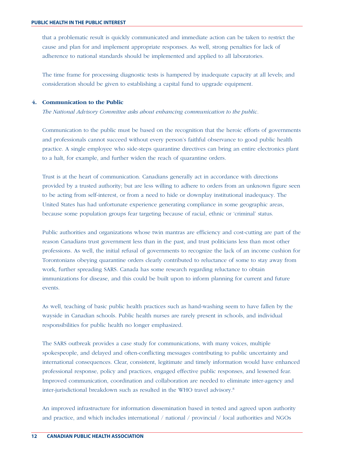that a problematic result is quickly communicated and immediate action can be taken to restrict the cause and plan for and implement appropriate responses. As well, strong penalties for lack of adherence to national standards should be implemented and applied to all laboratories.

The time frame for processing diagnostic tests is hampered by inadequate capacity at all levels; and consideration should be given to establishing a capital fund to upgrade equipment.

#### **4. Communication to the Public**

*The National Advisory Committee asks about enhancing communication to the public.*

Communication to the public must be based on the recognition that the heroic efforts of governments and professionals cannot succeed without every person's faithful observance to good public health practice. A single employee who side-steps quarantine directives can bring an entire electronics plant to a halt, for example, and further widen the reach of quarantine orders.

Trust is at the heart of communication. Canadians generally act in accordance with directions provided by a trusted authority; but are less willing to adhere to orders from an unknown figure seen to be acting from self-interest, or from a need to hide or downplay institutional inadequacy. The United States has had unfortunate experience generating compliance in some geographic areas, because some population groups fear targeting because of racial, ethnic or 'criminal' status.

Public authorities and organizations whose twin mantras are efficiency and cost-cutting are part of the reason Canadians trust government less than in the past, and trust politicians less than most other professions. As well, the initial refusal of governments to recognize the lack of an income cushion for Torontonians obeying quarantine orders clearly contributed to reluctance of some to stay away from work, further spreading SARS. Canada has some research regarding reluctance to obtain immunizations for disease, and this could be built upon to inform planning for current and future events.

As well, teaching of basic public health practices such as hand-washing seem to have fallen by the wayside in Canadian schools. Public health nurses are rarely present in schools, and individual responsibilities for public health no longer emphasized.

The SARS outbreak provides a case study for communications, with many voices, multiple spokespeople, and delayed and often-conflicting messages contributing to public uncertainty and international consequences. Clear, consistent, legitimate and timely information would have enhanced professional response, policy and practices, engaged effective public responses, and lessened fear. Improved communication, coordination and collaboration are needed to eliminate inter-agency and inter-jurisdictional breakdown such as resulted in the WHO travel advisory.8

An improved infrastructure for information dissemination based in tested and agreed upon authority and practice, and which includes international / national / provincial / local authorities and NGOs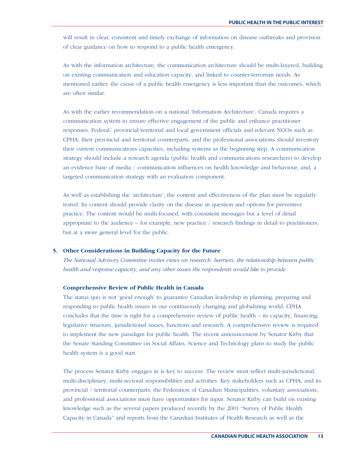will result in clear, consistent and timely exchange of information on disease outbreaks and provision of clear guidance on how to respond to a public health emergency.

As with the information architecture, the communication architecture should be multi-layered, building on existing communication and education capacity, and linked to counter-terrorism needs. As mentioned earlier, the cause of a public health emergency is less important than the outcomes, which are often similar.

As with the earlier recommendation on a national 'Information Architecture', Canada requires a communication system to ensure effective engagement of the public and enhance practitioner responses. Federal/ provincial/territorial and local government officials and relevant NGOs such as CPHA, their provincial and territorial counterparts, and the professional associations should inventory their current communications capacities, including systems as the beginning step. A communication strategy should include a research agenda (public health and communications researchers) to develop an evidence base of media / communication influences on health knowledge and behaviour; and, a targeted communication strategy with an evaluation component.

As well as establishing the 'architecture', the content and effectiveness of the plan must be regularly tested. Its content should provide clarity on the disease in question and options for preventive practice. The content would be multi-focused, with consistent messages but a level of detail appropriate to the audience – for example, new practice / research findings in detail to practitioners, but at a more general level for the public.

#### **5. Other Considerations in Building Capacity for the Future**

*The National Advisory Committee invites views on research, barriers, the relationship between public health and response capacity, and any other issues the respondents would like to provide.*

#### **Comprehensive Review of Public Health in Canada**

The status quo is not 'good enough' to guarantee Canadian leadership in planning, preparing and responding to public health issues in our continuously changing and globalizing world. CPHA concludes that the time is right for a comprehensive review of public health – its capacity, financing, legislative structure, jurisdictional issues, functions and research. A comprehensive review is required to implement the new paradigm for public health. The recent announcement by Senator Kirby that the Senate Standing Committee on Social Affairs, Science and Technology plans to study the public health system is a good start.

The process Senator Kirby engages in is key to success. The review must reflect multi-jurisdictional, multi-disciplinary, multi-sectoral responsibilities and activities. Key stakeholders such as CPHA, and its provincial / territorial counterparts, the Federation of Canadian Municipalities, voluntary associations, and professional associations must have opportunities for input. Senator Kirby can build on existing knowledge such as the several papers produced recently by the 2001 "Survey of Public Health Capacity in Canada" and reports from the Canadian Institutes of Health Research as well as the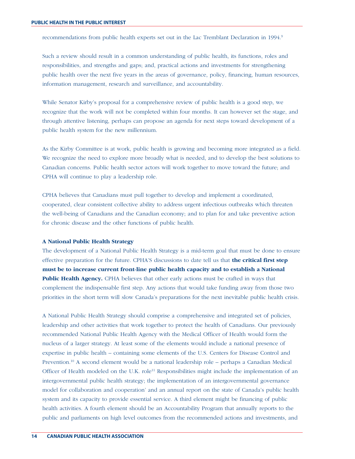recommendations from public health experts set out in the Lac Tremblant Declaration in 1994.9

Such a review should result in a common understanding of public health, its functions, roles and responsibilities, and strengths and gaps; and, practical actions and investments for strengthening public health over the next five years in the areas of governance, policy, financing, human resources, information management, research and surveillance, and accountability.

While Senator Kirby's proposal for a comprehensive review of public health is a good step, we recognize that the work will not be completed within four months. It can however set the stage, and through attentive listening, perhaps can propose an agenda for next steps toward development of a public health system for the new millennium.

As the Kirby Committee is at work, public health is growing and becoming more integrated as a field. We recognize the need to explore more broadly what is needed, and to develop the best solutions to Canadian concerns. Public health sector actors will work together to move toward the future; and CPHA will continue to play a leadership role.

CPHA believes that Canadians must pull together to develop and implement a coordinated, cooperated, clear consistent collective ability to address urgent infectious outbreaks which threaten the well-being of Canadians and the Canadian economy; and to plan for and take preventive action for chronic disease and the other functions of public health.

#### **A National Public Health Strategy**

The development of a National Public Health Strategy is a mid-term goal that must be done to ensure effective preparation for the future. CPHA'S discussions to date tell us that **the critical first step must be to increase current front-line public health capacity and to establish a National Public Health Agency.** CPHA believes that other early actions must be crafted in ways that complement the indispensable first step. Any actions that would take funding away from those two priorities in the short term will slow Canada's preparations for the next inevitable public health crisis.

A National Public Health Strategy should comprise a comprehensive and integrated set of policies, leadership and other activities that work together to protect the health of Canadians. Our previously recommended National Public Health Agency with the Medical Officer of Health would form the nucleus of a larger strategy. At least some of the elements would include a national presence of expertise in public health – containing some elements of the U.S. Centers for Disease Control and Prevention.10 A second element would be a national leadership role – perhaps a Canadian Medical Officer of Health modeled on the U.K. role<sup>11</sup> Responsibilities might include the implementation of an intergovernmental public health strategy; the implementation of an intergovernmental governance model for collaboration and cooperation' and an annual report on the state of Canada's public health system and its capacity to provide essential service. A third element might be financing of public health activities. A fourth element should be an Accountability Program that annually reports to the public and parliaments on high level outcomes from the recommended actions and investments, and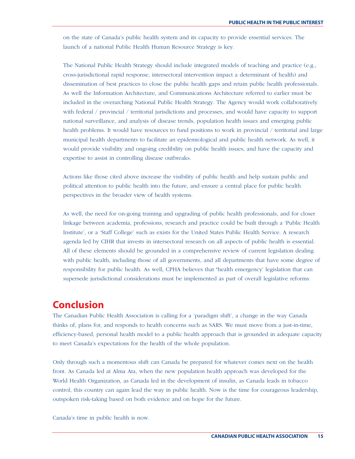on the state of Canada's public health system and its capacity to provide essential services. The launch of a national Public Health Human Resource Strategy is key.

The National Public Health Strategy should include integrated models of teaching and practice (e.g., cross-jurisdictional rapid response, intersectoral intervention impact a determinant of health) and dissemination of best practices to close the public health gaps and retain public health professionals. As well the Information Architecture, and Communications Architecture referred to earlier must be included in the overarching National Public Health Strategy. The Agency would work collaboratively with federal / provincial / territorial jurisdictions and processes, and would have capacity to support national surveillance, and analysis of disease trends, population health issues and emerging public health problems. It would have resources to fund positions to work in provincial / territorial and large municipal health departments to facilitate an epidemiological and public health network. As well, it would provide visibility and ongoing credibility on public health issues, and have the capacity and expertise to assist in controlling disease outbreaks.

Actions like those cited above increase the visibility of public health and help sustain public and political attention to public health into the future, and ensure a central place for public health perspectives in the broader view of health systems.

As well, the need for on-going training and upgrading of public health professionals, and for closer linkage between academia, professions, research and practice could be built through a 'Public Health Institute', or a 'Staff College' such as exists for the United States Public Health Service. A research agenda led by CIHR that invests in intersectoral research on all aspects of public health is essential. All of these elements should be grounded in a comprehensive review of current legislation dealing with public health, including those of all governments, and all departments that have some degree of responsibility for public health. As well, CPHA believes that **'**health emergency' legislation that can supersede jurisdictional considerations must be implemented as part of overall legislative reforms.

## **Conclusion**

The Canadian Public Health Association is calling for a 'paradigm shift', a change in the way Canada thinks of, plans for, and responds to health concerns such as SARS. We must move from a just-in-time, efficiency-based, personal health model to a public health approach that is grounded in adequate capacity to meet Canada's expectations for the health of the whole population.

Only through such a momentous shift can Canada be prepared for whatever comes next on the health front. As Canada led at Alma Ata, when the new population health approach was developed for the World Health Organization, as Canada led in the development of insulin, as Canada leads in tobacco control, this country can again lead the way in public health. Now is the time for courageous leadership, outspoken risk-taking based on both evidence and on hope for the future.

Canada's time in public health is now.